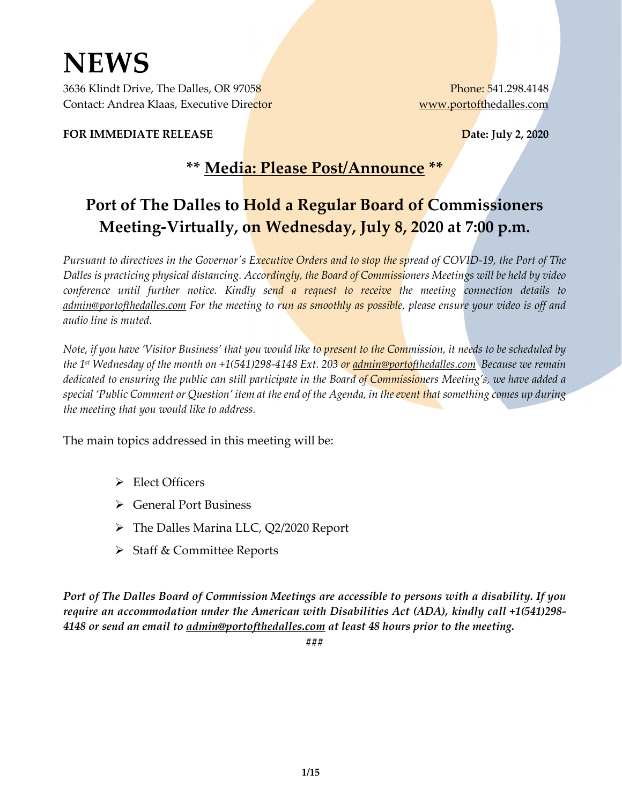# **NEWS**

3636 Klindt Drive, The Dalles, OR 97058 Phone: 541.298.4148 Contact: Andrea Klaas, Executive Director [www.portofthedalles.com](http://www.portofthedalles.com/)

**FOR IMMEDIATE RELEASE Date: July 2, 2020** 

### **\*\* Media: Please Post/Announce \*\***

## **Port of The Dalles to Hold a Regular Board of Commissioners Meeting-Virtually, on Wednesday, July 8, 2020 at 7:00 p.m.**

*Pursuant to directives in the Governor's Executive Orders and to stop the spread of COVID-19, the Port of The Dalles is practicing physical distancing. Accordingly, the Board of Commissioners Meetings will be held by video conference until further notice. Kindly send a request to receive the meeting connection details to [admin@portofthedalles.com](mailto:admin@portofthedalles.com) For the meeting to run as smoothly as possible, please ensure your video is off and audio line is muted.*

*Note, if you have 'Visitor Business' that you would like to present to the Commission, it needs to be scheduled by the 1st Wednesday of the month on +1(541)298-4148 Ext. 203 or [admin@portofthedalles.com](mailto:admin@portofthedalles.com) Because we remain dedicated to ensuring the public can still participate in the Board of Commissioners Meeting's, we have added a special 'Public Comment or Question' item at the end of the Agenda, in the event that something comes up during the meeting that you would like to address.*

The main topics addressed in this meeting will be:

- Elect Officers
- General Port Business
- The Dalles Marina LLC, Q2/2020 Report
- $\triangleright$  Staff & Committee Reports

*Port of The Dalles Board of Commission Meetings are accessible to persons with a disability. If you require an accommodation under the American with Disabilities Act (ADA), kindly call +1(541)298- 4148 or send an email to [admin@portofthedalles.com](mailto:admin@portofthedalles.com) at least 48 hours prior to the meeting.*

**###**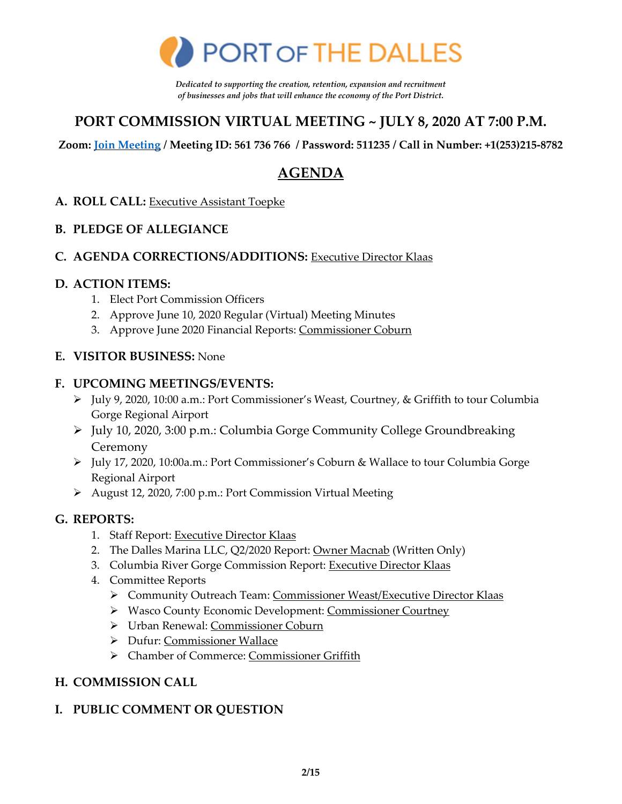

*Dedicated to supporting the creation, retention, expansion and recruitment of businesses and jobs that will enhance the economy of the Port District.* 

### **PORT COMMISSION VIRTUAL MEETING ~ JULY 8, 2020 AT 7:00 P.M.**

**Zoom: [Join Meeting](https://us02web.zoom.us/j/561736766?pwd=aUpnOWlSZlRIT1UwcTA3VTFxT01qQT09) / Meeting ID: 561 736 766 / Password: 511235 / Call in Number: +1(253)215-8782** 

### **AGENDA**

#### **A. ROLL CALL:** Executive Assistant Toepke

#### **B. PLEDGE OF ALLEGIANCE**

#### **C. AGENDA CORRECTIONS/ADDITIONS:** Executive Director Klaas

#### **D. ACTION ITEMS:**

- 1. Elect Port Commission Officers
- 2. Approve June 10, 2020 Regular (Virtual) Meeting Minutes
- 3. Approve June 2020 Financial Reports: Commissioner Coburn

#### **E. VISITOR BUSINESS:** None

#### **F. UPCOMING MEETINGS/EVENTS:**

- July 9, 2020, 10:00 a.m.: Port Commissioner's Weast, Courtney, & Griffith to tour Columbia Gorge Regional Airport
- July 10, 2020, 3:00 p.m.: Columbia Gorge Community College Groundbreaking Ceremony
- July 17, 2020, 10:00a.m.: Port Commissioner's Coburn & Wallace to tour Columbia Gorge Regional Airport
- August 12, 2020, 7:00 p.m.: Port Commission Virtual Meeting

#### **G. REPORTS:**

- 1. Staff Report: Executive Director Klaas
- 2. The Dalles Marina LLC, Q2/2020 Report: Owner Macnab (Written Only)
- 3. Columbia River Gorge Commission Report: Executive Director Klaas
- 4. Committee Reports
	- Community Outreach Team: Commissioner Weast/Executive Director Klaas
	- ▶ Wasco County Economic Development: Commissioner Courtney
	- Urban Renewal: Commissioner Coburn
	- Dufur: Commissioner Wallace
	- > Chamber of Commerce: Commissioner Griffith

#### **H. COMMISSION CALL**

### **I. PUBLIC COMMENT OR QUESTION**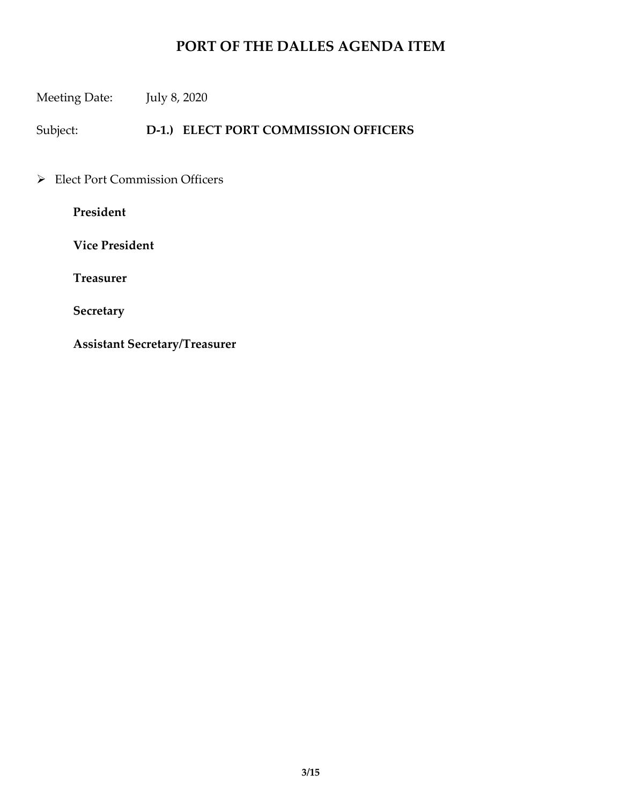Meeting Date: July 8, 2020

Subject: **D-1.) ELECT PORT COMMISSION OFFICERS**

Elect Port Commission Officers

**President**

 **Vice President** 

 **Treasurer** 

 **Secretary** 

 **Assistant Secretary/Treasurer**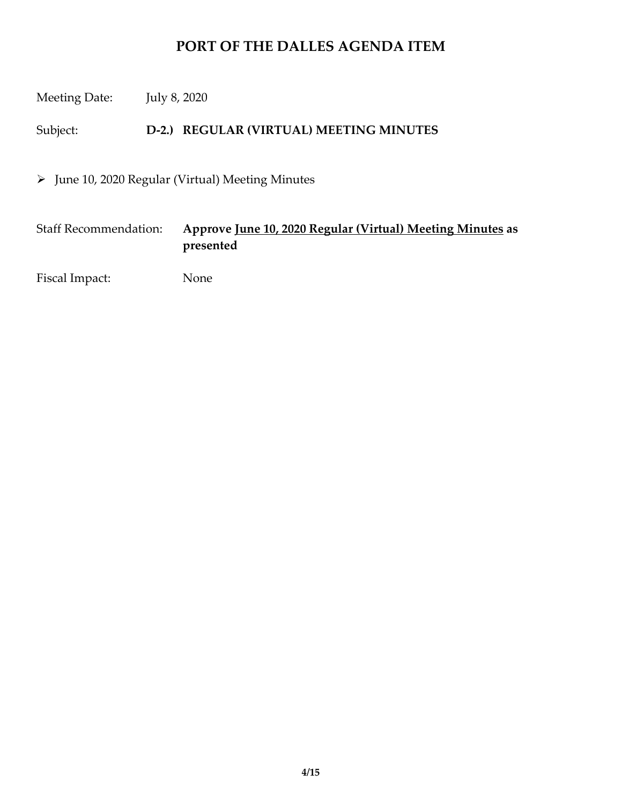Meeting Date: July 8, 2020

Subject: **D-2.) REGULAR (VIRTUAL) MEETING MINUTES**

 $\triangleright$  June 10, 2020 Regular (Virtual) Meeting Minutes

Staff Recommendation: **Approve June 10, 2020 Regular (Virtual) Meeting Minutes as presented**

Fiscal Impact: None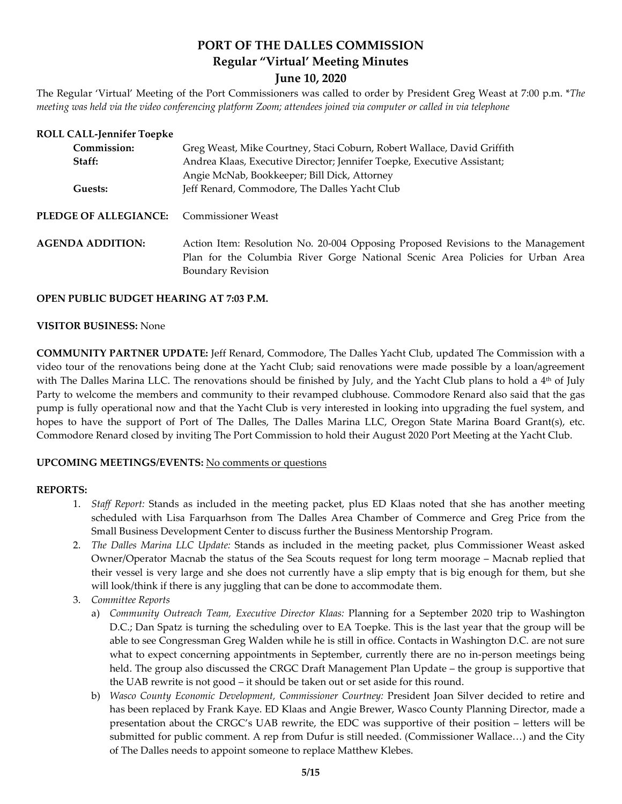### **PORT OF THE DALLES COMMISSION Regular "Virtual' Meeting Minutes**

#### **June 10, 2020**

The Regular 'Virtual' Meeting of the Port Commissioners was called to order by President Greg Weast at 7:00 p.m. \**The meeting was held via the video conferencing platform Zoom; attendees joined via computer or called in via telephone*

| <b>ROLL CALL-Jennifer Toepke</b> |                                                                                  |
|----------------------------------|----------------------------------------------------------------------------------|
| Commission:                      | Greg Weast, Mike Courtney, Staci Coburn, Robert Wallace, David Griffith          |
| Staff:                           | Andrea Klaas, Executive Director; Jennifer Toepke, Executive Assistant;          |
|                                  | Angie McNab, Bookkeeper; Bill Dick, Attorney                                     |
| Guests:                          | Jeff Renard, Commodore, The Dalles Yacht Club                                    |
| <b>PLEDGE OF ALLEGIANCE:</b>     | <b>Commissioner Weast</b>                                                        |
| <b>AGENDA ADDITION:</b>          | Action Item: Resolution No. 20-004 Opposing Proposed Revisions to the Management |
|                                  | Plan for the Columbia River Gorge National Scenic Area Policies for Urban Area   |
|                                  | <b>Boundary Revision</b>                                                         |

#### **OPEN PUBLIC BUDGET HEARING AT 7:03 P.M.**

#### **VISITOR BUSINESS:** None

**COMMUNITY PARTNER UPDATE:** Jeff Renard, Commodore, The Dalles Yacht Club, updated The Commission with a video tour of the renovations being done at the Yacht Club; said renovations were made possible by a loan/agreement with The Dalles Marina LLC. The renovations should be finished by July, and the Yacht Club plans to hold a  $4<sup>th</sup>$  of July Party to welcome the members and community to their revamped clubhouse. Commodore Renard also said that the gas pump is fully operational now and that the Yacht Club is very interested in looking into upgrading the fuel system, and hopes to have the support of Port of The Dalles, The Dalles Marina LLC, Oregon State Marina Board Grant(s), etc. Commodore Renard closed by inviting The Port Commission to hold their August 2020 Port Meeting at the Yacht Club.

#### **UPCOMING MEETINGS/EVENTS:** No comments or questions

#### **REPORTS:**

- 1. *Staff Report:* Stands as included in the meeting packet, plus ED Klaas noted that she has another meeting scheduled with Lisa Farquarhson from The Dalles Area Chamber of Commerce and Greg Price from the Small Business Development Center to discuss further the Business Mentorship Program.
- 2. *The Dalles Marina LLC Update:* Stands as included in the meeting packet, plus Commissioner Weast asked Owner/Operator Macnab the status of the Sea Scouts request for long term moorage – Macnab replied that their vessel is very large and she does not currently have a slip empty that is big enough for them, but she will look/think if there is any juggling that can be done to accommodate them.
- 3. *Committee Reports*
	- a) *Community Outreach Team, Executive Director Klaas:* Planning for a September 2020 trip to Washington D.C.; Dan Spatz is turning the scheduling over to EA Toepke. This is the last year that the group will be able to see Congressman Greg Walden while he is still in office. Contacts in Washington D.C. are not sure what to expect concerning appointments in September, currently there are no in-person meetings being held. The group also discussed the CRGC Draft Management Plan Update – the group is supportive that the UAB rewrite is not good – it should be taken out or set aside for this round.
	- b) *Wasco County Economic Development, Commissioner Courtney:* President Joan Silver decided to retire and has been replaced by Frank Kaye. ED Klaas and Angie Brewer, Wasco County Planning Director, made a presentation about the CRGC's UAB rewrite, the EDC was supportive of their position – letters will be submitted for public comment. A rep from Dufur is still needed. (Commissioner Wallace…) and the City of The Dalles needs to appoint someone to replace Matthew Klebes.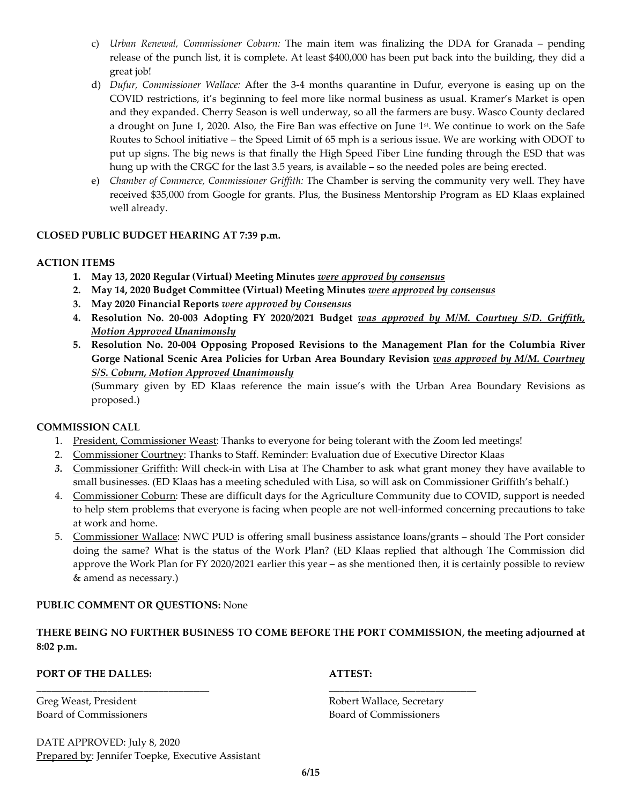- c) *Urban Renewal, Commissioner Coburn:* The main item was finalizing the DDA for Granada pending release of the punch list, it is complete. At least \$400,000 has been put back into the building, they did a great job!
- d) *Dufur, Commissioner Wallace:* After the 3-4 months quarantine in Dufur, everyone is easing up on the COVID restrictions, it's beginning to feel more like normal business as usual. Kramer's Market is open and they expanded. Cherry Season is well underway, so all the farmers are busy. Wasco County declared a drought on June 1, 2020. Also, the Fire Ban was effective on June 1st. We continue to work on the Safe Routes to School initiative – the Speed Limit of 65 mph is a serious issue. We are working with ODOT to put up signs. The big news is that finally the High Speed Fiber Line funding through the ESD that was hung up with the CRGC for the last 3.5 years, is available – so the needed poles are being erected.
- e) *Chamber of Commerce, Commissioner Griffith:* The Chamber is serving the community very well. They have received \$35,000 from Google for grants. Plus, the Business Mentorship Program as ED Klaas explained well already.

#### **CLOSED PUBLIC BUDGET HEARING AT 7:39 p.m.**

#### **ACTION ITEMS**

- **1. May 13, 2020 Regular (Virtual) Meeting Minutes** *were approved by consensus*
- **2. May 14, 2020 Budget Committee (Virtual) Meeting Minutes** *were approved by consensus*
- **3. May 2020 Financial Reports** *were approved by Consensus*
- **4. Resolution No. 20-003 Adopting FY 2020/2021 Budget** *was approved by M/M. Courtney S/D. Griffith, Motion Approved Unanimously*
- **5. Resolution No. 20-004 Opposing Proposed Revisions to the Management Plan for the Columbia River Gorge National Scenic Area Policies for Urban Area Boundary Revision** *was approved by M/M. Courtney S/S. Coburn, Motion Approved Unanimously*

(Summary given by ED Klaas reference the main issue's with the Urban Area Boundary Revisions as proposed.)

#### **COMMISSION CALL**

- 1. President, Commissioner Weast: Thanks to everyone for being tolerant with the Zoom led meetings!
- 2. Commissioner Courtney: Thanks to Staff. Reminder: Evaluation due of Executive Director Klaas
- *3.* Commissioner Griffith: Will check-in with Lisa at The Chamber to ask what grant money they have available to small businesses. (ED Klaas has a meeting scheduled with Lisa, so will ask on Commissioner Griffith's behalf.)
- 4. Commissioner Coburn: These are difficult days for the Agriculture Community due to COVID, support is needed to help stem problems that everyone is facing when people are not well-informed concerning precautions to take at work and home.
- 5. Commissioner Wallace: NWC PUD is offering small business assistance loans/grants should The Port consider doing the same? What is the status of the Work Plan? (ED Klaas replied that although The Commission did approve the Work Plan for FY 2020/2021 earlier this year – as she mentioned then, it is certainly possible to review & amend as necessary.)

#### **PUBLIC COMMENT OR QUESTIONS:** None

**THERE BEING NO FURTHER BUSINESS TO COME BEFORE THE PORT COMMISSION, the meeting adjourned at 8:02 p.m.**

\_\_\_\_\_\_\_\_\_\_\_\_\_\_\_\_\_\_\_\_\_\_\_\_\_\_\_\_\_\_\_\_\_\_ \_\_\_\_\_\_\_\_\_\_\_\_\_\_\_\_\_\_\_\_\_\_\_\_\_\_\_\_\_

#### **PORT OF THE DALLES: ATTEST: ATTEST:**

Board of Commissioners Board of Commissioners

DATE APPROVED: July 8, 2020 Prepared by: Jennifer Toepke, Executive Assistant

Greg Weast, President **Robert Wallace, Secretary**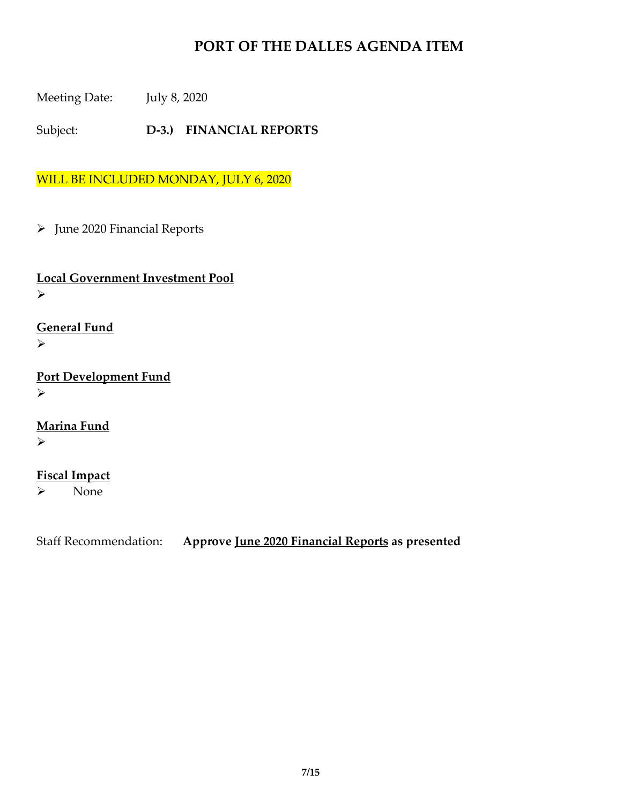Meeting Date: July 8, 2020

Subject: **D-3.) FINANCIAL REPORTS** 

WILL BE INCLUDED MONDAY, JULY 6, 2020

> June 2020 Financial Reports

**Local Government Investment Pool**  $\blacktriangleright$ 

**General Fund**  $\blacktriangleright$ 

**Port Development Fund**  $\blacktriangleright$ 

**Marina Fund**  $\blacktriangleright$ 

**Fiscal Impact** None

Staff Recommendation: **Approve June 2020 Financial Reports as presented**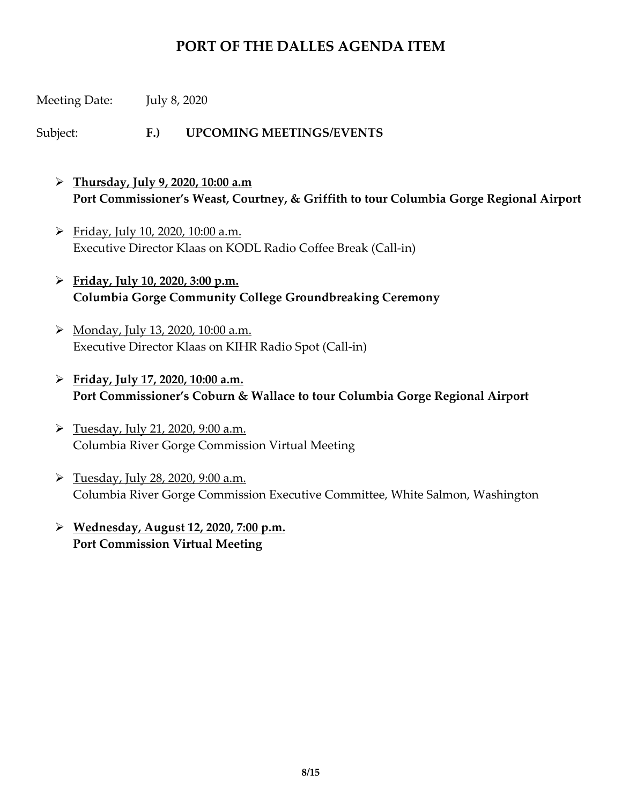Meeting Date: July 8, 2020

Subject: **F.) UPCOMING MEETINGS/EVENTS**

- **Thursday, July 9, 2020, 10:00 a.m Port Commissioner's Weast, Courtney, & Griffith to tour Columbia Gorge Regional Airport**
- $\triangleright$  Friday, July 10, 2020, 10:00 a.m. Executive Director Klaas on KODL Radio Coffee Break (Call-in)
- **Friday, July 10, 2020, 3:00 p.m. Columbia Gorge Community College Groundbreaking Ceremony**
- Monday, July 13, 2020, 10:00 a.m. Executive Director Klaas on KIHR Radio Spot (Call-in)
- **Friday, July 17, 2020, 10:00 a.m. Port Commissioner's Coburn & Wallace to tour Columbia Gorge Regional Airport**
- $\triangleright$  Tuesday, July 21, 2020, 9:00 a.m. Columbia River Gorge Commission Virtual Meeting
- Tuesday, July 28, 2020, 9:00 a.m. Columbia River Gorge Commission Executive Committee, White Salmon, Washington
- **Wednesday, August 12, 2020, 7:00 p.m. Port Commission Virtual Meeting**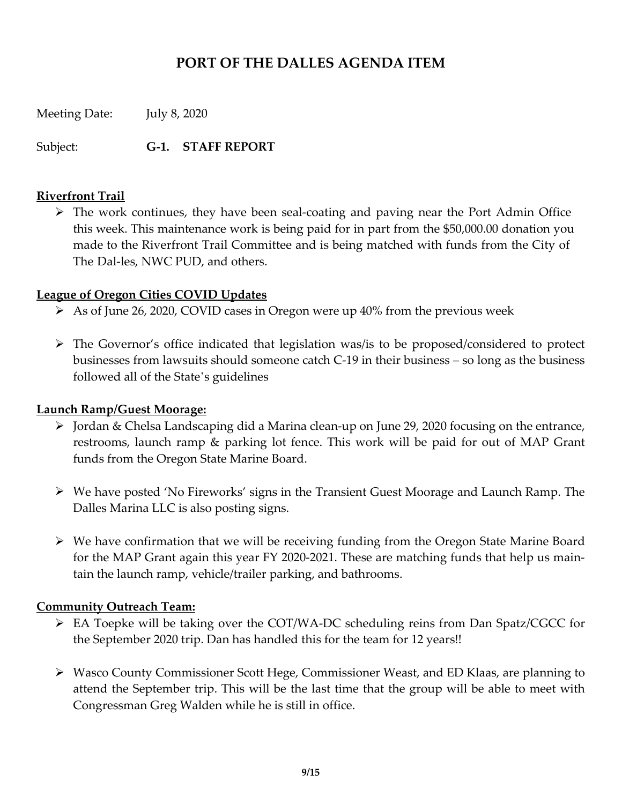Meeting Date: July 8, 2020

Subject: **G-1. STAFF REPORT**

#### **Riverfront Trail**

 $\triangleright$  The work continues, they have been seal-coating and paving near the Port Admin Office this week. This maintenance work is being paid for in part from the \$50,000.00 donation you made to the Riverfront Trail Committee and is being matched with funds from the City of The Dal-les, NWC PUD, and others.

#### **League of Oregon Cities COVID Updates**

- $\triangleright$  As of June 26, 2020, COVID cases in Oregon were up 40% from the previous week
- The Governor's office indicated that legislation was/is to be proposed/considered to protect businesses from lawsuits should someone catch C-19 in their business – so long as the business followed all of the State's guidelines

#### **Launch Ramp/Guest Moorage:**

- $\triangleright$  Jordan & Chelsa Landscaping did a Marina clean-up on June 29, 2020 focusing on the entrance, restrooms, launch ramp & parking lot fence. This work will be paid for out of MAP Grant funds from the Oregon State Marine Board.
- $\triangleright$  We have posted 'No Fireworks' signs in the Transient Guest Moorage and Launch Ramp. The Dalles Marina LLC is also posting signs.
- We have confirmation that we will be receiving funding from the Oregon State Marine Board for the MAP Grant again this year FY 2020-2021. These are matching funds that help us maintain the launch ramp, vehicle/trailer parking, and bathrooms.

#### **Community Outreach Team:**

- EA Toepke will be taking over the COT/WA-DC scheduling reins from Dan Spatz/CGCC for the September 2020 trip. Dan has handled this for the team for 12 years!!
- Wasco County Commissioner Scott Hege, Commissioner Weast, and ED Klaas, are planning to attend the September trip. This will be the last time that the group will be able to meet with Congressman Greg Walden while he is still in office.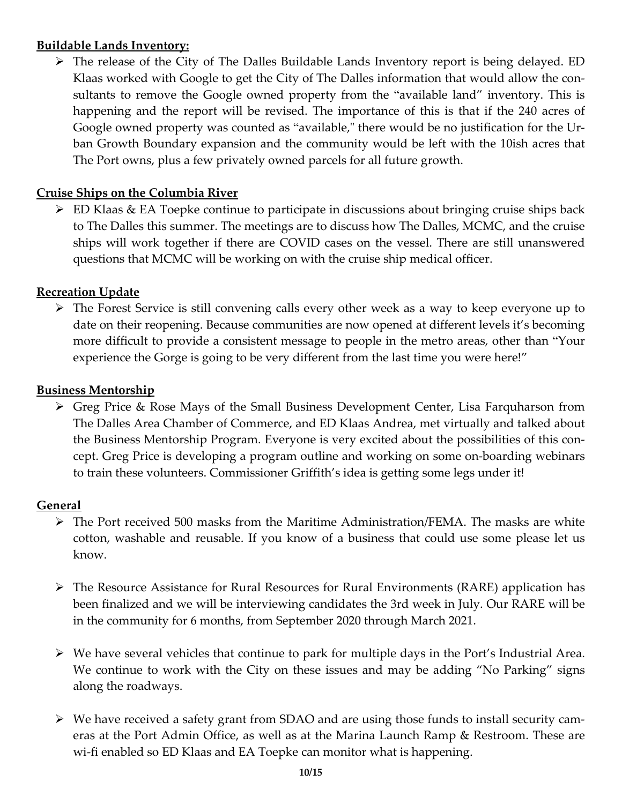#### **Buildable Lands Inventory:**

 The release of the City of The Dalles Buildable Lands Inventory report is being delayed. ED Klaas worked with Google to get the City of The Dalles information that would allow the consultants to remove the Google owned property from the "available land" inventory. This is happening and the report will be revised. The importance of this is that if the 240 acres of Google owned property was counted as "available," there would be no justification for the Urban Growth Boundary expansion and the community would be left with the 10ish acres that The Port owns, plus a few privately owned parcels for all future growth.

#### **Cruise Ships on the Columbia River**

 ED Klaas & EA Toepke continue to participate in discussions about bringing cruise ships back to The Dalles this summer. The meetings are to discuss how The Dalles, MCMC, and the cruise ships will work together if there are COVID cases on the vessel. There are still unanswered questions that MCMC will be working on with the cruise ship medical officer.

#### **Recreation Update**

 The Forest Service is still convening calls every other week as a way to keep everyone up to date on their reopening. Because communities are now opened at different levels it's becoming more difficult to provide a consistent message to people in the metro areas, other than "Your experience the Gorge is going to be very different from the last time you were here!"

#### **Business Mentorship**

 Greg Price & Rose Mays of the Small Business Development Center, Lisa Farquharson from The Dalles Area Chamber of Commerce, and ED Klaas Andrea, met virtually and talked about the Business Mentorship Program. Everyone is very excited about the possibilities of this concept. Greg Price is developing a program outline and working on some on-boarding webinars to train these volunteers. Commissioner Griffith's idea is getting some legs under it!

#### **General**

- $\triangleright$  The Port received 500 masks from the Maritime Administration/FEMA. The masks are white cotton, washable and reusable. If you know of a business that could use some please let us know.
- The Resource Assistance for Rural Resources for Rural Environments (RARE) application has been finalized and we will be interviewing candidates the 3rd week in July. Our RARE will be in the community for 6 months, from September 2020 through March 2021.
- $\triangleright$  We have several vehicles that continue to park for multiple days in the Port's Industrial Area. We continue to work with the City on these issues and may be adding "No Parking" signs along the roadways.
- We have received a safety grant from SDAO and are using those funds to install security cameras at the Port Admin Office, as well as at the Marina Launch Ramp & Restroom. These are wi-fi enabled so ED Klaas and EA Toepke can monitor what is happening.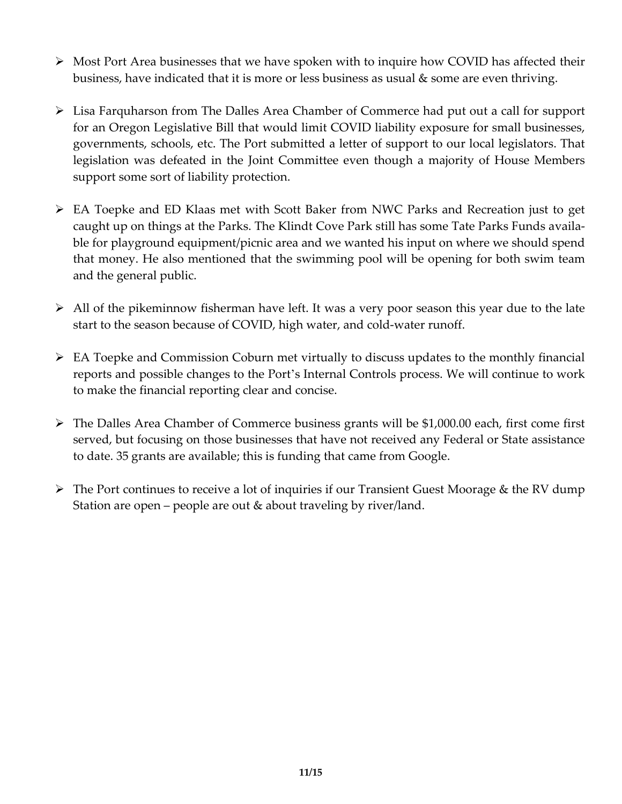- $\triangleright$  Most Port Area businesses that we have spoken with to inquire how COVID has affected their business, have indicated that it is more or less business as usual & some are even thriving.
- Lisa Farquharson from The Dalles Area Chamber of Commerce had put out a call for support for an Oregon Legislative Bill that would limit COVID liability exposure for small businesses, governments, schools, etc. The Port submitted a letter of support to our local legislators. That legislation was defeated in the Joint Committee even though a majority of House Members support some sort of liability protection.
- EA Toepke and ED Klaas met with Scott Baker from NWC Parks and Recreation just to get caught up on things at the Parks. The Klindt Cove Park still has some Tate Parks Funds available for playground equipment/picnic area and we wanted his input on where we should spend that money. He also mentioned that the swimming pool will be opening for both swim team and the general public.
- $\triangleright$  All of the pikeminnow fisherman have left. It was a very poor season this year due to the late start to the season because of COVID, high water, and cold-water runoff.
- $\triangleright$  EA Toepke and Commission Coburn met virtually to discuss updates to the monthly financial reports and possible changes to the Port's Internal Controls process. We will continue to work to make the financial reporting clear and concise.
- The Dalles Area Chamber of Commerce business grants will be \$1,000.00 each, first come first served, but focusing on those businesses that have not received any Federal or State assistance to date. 35 grants are available; this is funding that came from Google.
- The Port continues to receive a lot of inquiries if our Transient Guest Moorage & the RV dump Station are open – people are out & about traveling by river/land.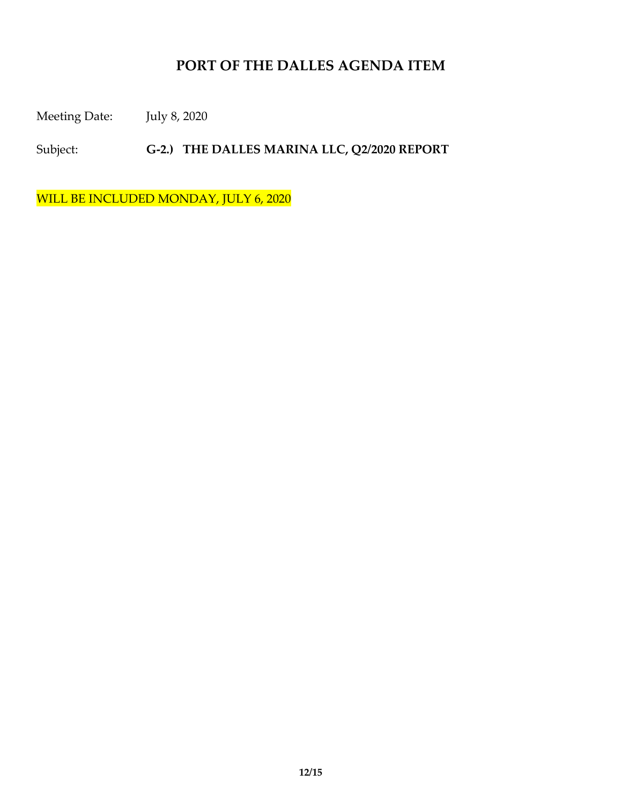Meeting Date: July 8, 2020

Subject: **G-2.) THE DALLES MARINA LLC, Q2/2020 REPORT** 

WILL BE INCLUDED MONDAY, JULY 6, 2020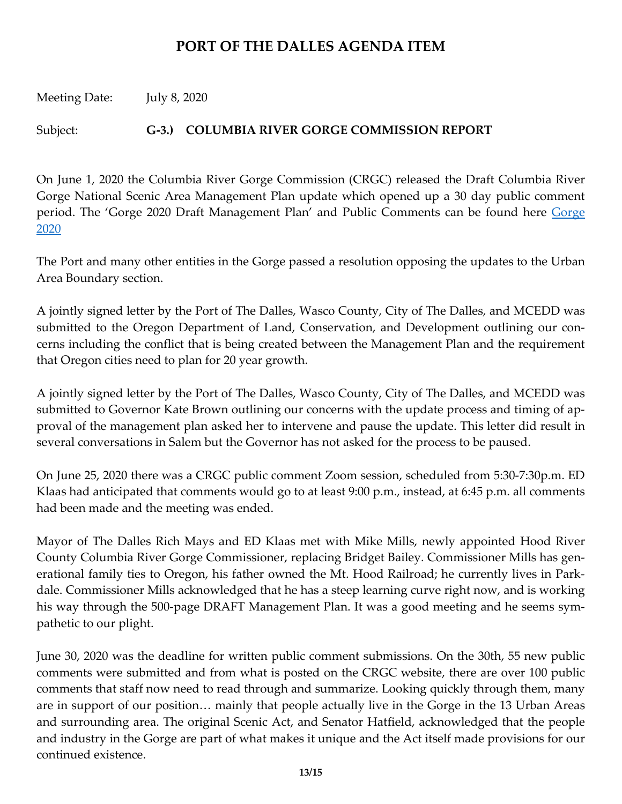Meeting Date: July 8, 2020

Subject: **G-3.) COLUMBIA RIVER GORGE COMMISSION REPORT**

On June 1, 2020 the Columbia River Gorge Commission (CRGC) released the Draft Columbia River Gorge National Scenic Area Management Plan update which opened up a 30 day public comment period. The '[Gorge](http://www.gorgecommission.org/management-plan/gorge2020/) 2020 Draft Management Plan' and Public Comments can be found here Gorge [2020](http://www.gorgecommission.org/management-plan/gorge2020/)

The Port and many other entities in the Gorge passed a resolution opposing the updates to the Urban Area Boundary section.

A jointly signed letter by the Port of The Dalles, Wasco County, City of The Dalles, and MCEDD was submitted to the Oregon Department of Land, Conservation, and Development outlining our concerns including the conflict that is being created between the Management Plan and the requirement that Oregon cities need to plan for 20 year growth.

A jointly signed letter by the Port of The Dalles, Wasco County, City of The Dalles, and MCEDD was submitted to Governor Kate Brown outlining our concerns with the update process and timing of approval of the management plan asked her to intervene and pause the update. This letter did result in several conversations in Salem but the Governor has not asked for the process to be paused.

On June 25, 2020 there was a CRGC public comment Zoom session, scheduled from 5:30-7:30p.m. ED Klaas had anticipated that comments would go to at least 9:00 p.m., instead, at 6:45 p.m. all comments had been made and the meeting was ended.

Mayor of The Dalles Rich Mays and ED Klaas met with Mike Mills, newly appointed Hood River County Columbia River Gorge Commissioner, replacing Bridget Bailey. Commissioner Mills has generational family ties to Oregon, his father owned the Mt. Hood Railroad; he currently lives in Parkdale. Commissioner Mills acknowledged that he has a steep learning curve right now, and is working his way through the 500-page DRAFT Management Plan. It was a good meeting and he seems sympathetic to our plight.

June 30, 2020 was the deadline for written public comment submissions. On the 30th, 55 new public comments were submitted and from what is posted on the CRGC website, there are over 100 public comments that staff now need to read through and summarize. Looking quickly through them, many are in support of our position… mainly that people actually live in the Gorge in the 13 Urban Areas and surrounding area. The original Scenic Act, and Senator Hatfield, acknowledged that the people and industry in the Gorge are part of what makes it unique and the Act itself made provisions for our continued existence.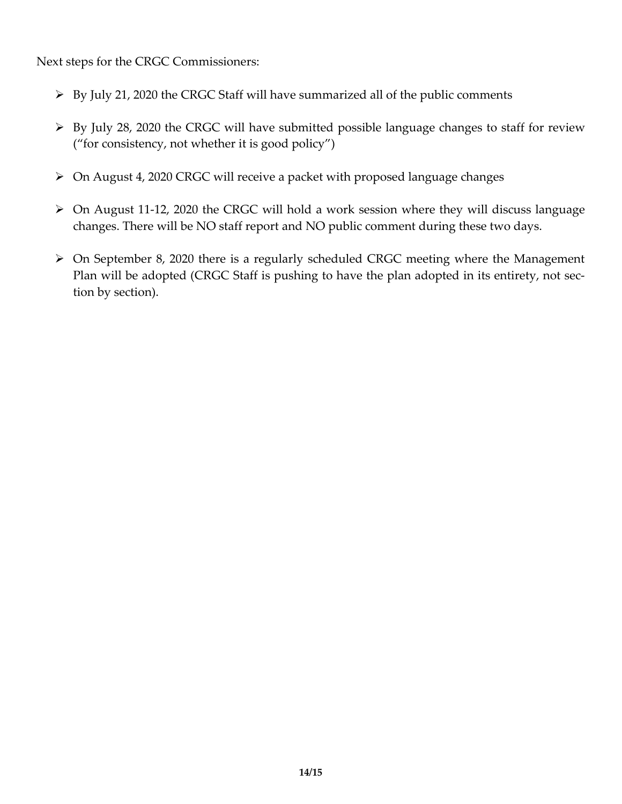Next steps for the CRGC Commissioners:

- $\triangleright$  By July 21, 2020 the CRGC Staff will have summarized all of the public comments
- $\triangleright$  By July 28, 2020 the CRGC will have submitted possible language changes to staff for review ("for consistency, not whether it is good policy")
- On August 4, 2020 CRGC will receive a packet with proposed language changes
- On August 11-12, 2020 the CRGC will hold a work session where they will discuss language changes. There will be NO staff report and NO public comment during these two days.
- On September 8, 2020 there is a regularly scheduled CRGC meeting where the Management Plan will be adopted (CRGC Staff is pushing to have the plan adopted in its entirety, not section by section).